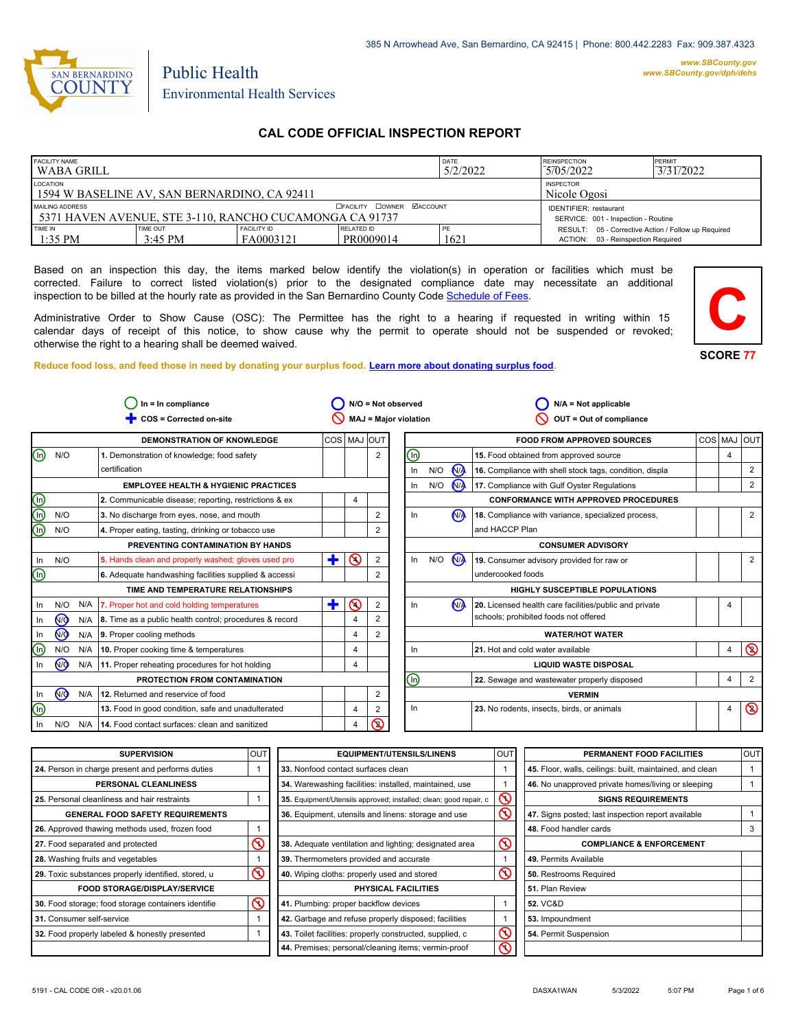

*www.SBCounty.gov [www.SBCounty.gov/dph/dehs](http://www.sbcounty.gov/dph/ehsportal)*

# Public Health Environmental Health Services

# **CAL CODE OFFICIAL INSPECTION REPORT**

| <b>FACILITY NAME</b><br>l WABA GRILL                                                         |                                      |                                  | DATE<br>5/2/2022                                                     | <b>REINSPECTION</b><br>5/05/2022 | PERMIT<br>3/31/2022                                                                       |  |
|----------------------------------------------------------------------------------------------|--------------------------------------|----------------------------------|----------------------------------------------------------------------|----------------------------------|-------------------------------------------------------------------------------------------|--|
| LOCATION<br><b>INSPECTOR</b><br>1594 W BASELINE AV, SAN BERNARDINO, CA 92411<br>Nicole Ogosi |                                      |                                  |                                                                      |                                  |                                                                                           |  |
| MAILING ADDRESS<br>5371 HAVEN AVENUE, STE 3-110, RANCHO CUCAMONGA CA 91737                   |                                      | <b>OFACILITY COWNER MACCOUNT</b> | <b>IDENTIFIER:</b> restaurant<br>SERVICE: 001 - Inspection - Routine |                                  |                                                                                           |  |
| TIME IN<br>$1:35$ PM                                                                         | <b>TIME OUT</b><br>$3:45 \text{ PM}$ | <b>FACILITY ID</b><br>FA0003121  | RELATED ID<br>PR0009014                                              | PE<br>1621                       | RESULT: 05 - Corrective Action / Follow up Required<br>ACTION: 03 - Reinspection Required |  |

Based on an inspection this day, the items marked below identify the violation(s) in operation or facilities which must be corrected. Failure to correct listed violation(s) prior to the designated compliance date may necessitate an additional inspection to be billed at the hourly rate as provided in the San Bernardino County Co[de Schedule of Fees.](https://codelibrary.amlegal.com/codes/sanbernardino/latest/sanberncty_ca/0-0-0-122474#JD_16.0213B)

Administrative Order to Show Cause (OSC): The Permittee has the right to a hearing if requested in writing within 15 calendar days of receipt of this notice, to show cause why the permit to operate should not be suspended or revoked; otherwise the right to a hearing shall be deemed waived.





#### **Reduce food loss, and feed those in need by donating your surplus f[ood. Learn more about donating surplus food.](https://wp.sbcounty.gov/dph/programs/ehs/charitable-food-service/)**

|                      | $In = In$ compliance<br>$N/O = Not observed$            |                                                               |             |          |                | $N/A = Not applicable$  |     |                |                                                         |         |                |                |
|----------------------|---------------------------------------------------------|---------------------------------------------------------------|-------------|----------|----------------|-------------------------|-----|----------------|---------------------------------------------------------|---------|----------------|----------------|
|                      | <b>MAJ = Major violation</b><br>COS = Corrected on-site |                                                               |             |          |                | OUT = Out of compliance |     |                |                                                         |         |                |                |
|                      |                                                         | <b>DEMONSTRATION OF KNOWLEDGE</b>                             | COS MAJ OUT |          |                |                         |     |                | <b>FOOD FROM APPROVED SOURCES</b>                       | COS MAJ |                | <b>OUT</b>     |
| N/O<br>ln)           |                                                         | 1. Demonstration of knowledge; food safety                    |             |          | 2              | ⑯                       |     |                | 15. Food obtained from approved source                  |         | 4              |                |
|                      |                                                         | certification                                                 |             |          |                | In                      | N/O | N <sub>A</sub> | 16. Compliance with shell stock tags, condition, displa |         |                | $\overline{2}$ |
|                      |                                                         | <b>EMPLOYEE HEALTH &amp; HYGIENIC PRACTICES</b>               |             |          |                | In                      | N/O | N              | 17. Compliance with Gulf Oyster Regulations             |         |                | 2              |
|                      |                                                         | 2. Communicable disease; reporting, restrictions & ex         |             | 4        |                |                         |     |                | <b>CONFORMANCE WITH APPROVED PROCEDURES</b>             |         |                |                |
| N/O                  |                                                         | 3. No discharge from eyes, nose, and mouth                    |             |          | 2              | In.                     |     | N <sub>A</sub> | 18. Compliance with variance, specialized process,      |         |                | 2              |
| N/O                  |                                                         | 4. Proper eating, tasting, drinking or tobacco use            |             |          | 2              |                         |     |                | and HACCP Plan                                          |         |                |                |
|                      |                                                         | PREVENTING CONTAMINATION BY HANDS                             |             |          |                |                         |     |                | <b>CONSUMER ADVISORY</b>                                |         |                |                |
| N/O                  |                                                         | 5. Hands clean and properly washed; gloves used pro           | ٠           | $\infty$ | $\overline{2}$ | In                      | N/O | <b>NA</b>      | 19. Consumer advisory provided for raw or               |         |                | 2              |
| ln)                  |                                                         | 6. Adequate handwashing facilities supplied & accessi         |             |          | 2              |                         |     |                | undercooked foods                                       |         |                |                |
|                      |                                                         | TIME AND TEMPERATURE RELATIONSHIPS                            |             |          |                |                         |     |                | <b>HIGHLY SUSCEPTIBLE POPULATIONS</b>                   |         |                |                |
| N/O                  | N/A                                                     | 7. Proper hot and cold holding temperatures                   | ٠           | $\Omega$ | $\overline{2}$ | In                      |     | N <sub>A</sub> | 20. Licensed health care facilities/public and private  |         | 4              |                |
| N <sub>O</sub>       |                                                         | N/A   8. Time as a public health control; procedures & record |             |          | 2              |                         |     |                | schools; prohibited foods not offered                   |         |                |                |
| (ଜ)                  | N/A                                                     | 9. Proper cooling methods                                     |             |          | 2              |                         |     |                | <b>WATER/HOT WATER</b>                                  |         |                |                |
| N/O<br>In            | N/A                                                     | 10. Proper cooking time & temperatures                        |             | 4        |                | In                      |     |                | 21. Hot and cold water available                        |         | $\overline{4}$ | $\circledcirc$ |
| ŃØ                   | N/A                                                     | 11. Proper reheating procedures for hot holding               |             | 4        |                |                         |     |                | <b>LIQUID WASTE DISPOSAL</b>                            |         |                |                |
|                      |                                                         | PROTECTION FROM CONTAMINATION                                 |             |          |                | ⋒                       |     |                | 22. Sewage and wastewater properly disposed             |         | 4              | $\overline{2}$ |
| N <sub>O</sub><br>In | N/A                                                     | 12. Returned and reservice of food                            |             |          | $\overline{2}$ |                         |     |                | <b>VERMIN</b>                                           |         |                |                |
| In                   |                                                         | 13. Food in good condition, safe and unadulterated            |             | 4        | 2              | In                      |     |                | 23. No rodents, insects, birds, or animals              |         | 4              | $\circledcirc$ |
| N/O                  | N/A                                                     | 14. Food contact surfaces: clean and sanitized                |             | 4        | ல              |                         |     |                |                                                         |         |                |                |

| <b>SUPERVISION</b>                                  | <b>OUT</b> | <b>EQUIPMENT/UTENSILS/LINENS</b>                                  | <b>OUT</b>              | PERMANENT FOOD FACILITIES                                | <b>OUT</b> |
|-----------------------------------------------------|------------|-------------------------------------------------------------------|-------------------------|----------------------------------------------------------|------------|
| 24. Person in charge present and performs duties    |            | 33. Nonfood contact surfaces clean                                |                         | 45. Floor, walls, ceilings: built, maintained, and clean |            |
| PERSONAL CLEANLINESS                                |            | 34. Warewashing facilities: installed, maintained, use            |                         | 46. No unapproved private homes/living or sleeping       |            |
| 25. Personal cleanliness and hair restraints        |            | 35. Equipment/Utensils approved; installed; clean; good repair, c | $\mathsf{\circledcirc}$ | <b>SIGNS REQUIREMENTS</b>                                |            |
| <b>GENERAL FOOD SAFETY REQUIREMENTS</b>             |            | 36. Equipment, utensils and linens: storage and use               | $\infty$                | 47. Signs posted; last inspection report available       |            |
| 26. Approved thawing methods used, frozen food      |            |                                                                   |                         | 48. Food handler cards                                   | 3          |
| 27. Food separated and protected                    |            | 38. Adequate ventilation and lighting; designated area            | $\infty$                | <b>COMPLIANCE &amp; ENFORCEMENT</b>                      |            |
| 28. Washing fruits and vegetables                   |            | 39. Thermometers provided and accurate                            |                         | 49. Permits Available                                    |            |
| 29. Toxic substances properly identified, stored, u | $\infty$   | 40. Wiping cloths: properly used and stored                       | $\infty$                | 50. Restrooms Required                                   |            |
| <b>FOOD STORAGE/DISPLAY/SERVICE</b>                 |            | PHYSICAL FACILITIES                                               |                         | 51. Plan Review                                          |            |
| 30. Food storage; food storage containers identifie | ര          | 41. Plumbing: proper backflow devices                             |                         | <b>52. VC&amp;D</b>                                      |            |
| 31. Consumer self-service                           |            | 42. Garbage and refuse properly disposed; facilities              |                         | 53. Impoundment                                          |            |
| 32. Food properly labeled & honestly presented      |            | 43. Toilet facilities: properly constructed, supplied, c          | $\infty$                | 54. Permit Suspension                                    |            |
|                                                     |            | 44. Premises; personal/cleaning items; vermin-proof               | $\mathsf{\Omega}$       |                                                          |            |

 $\circledcirc$ 

 $\bigcirc$ 

⊚  $\overline{\mathbb{Q}}$  $\bigcirc$ 

 $\circledcirc$ 

 $\overline{\mathbb{O}}$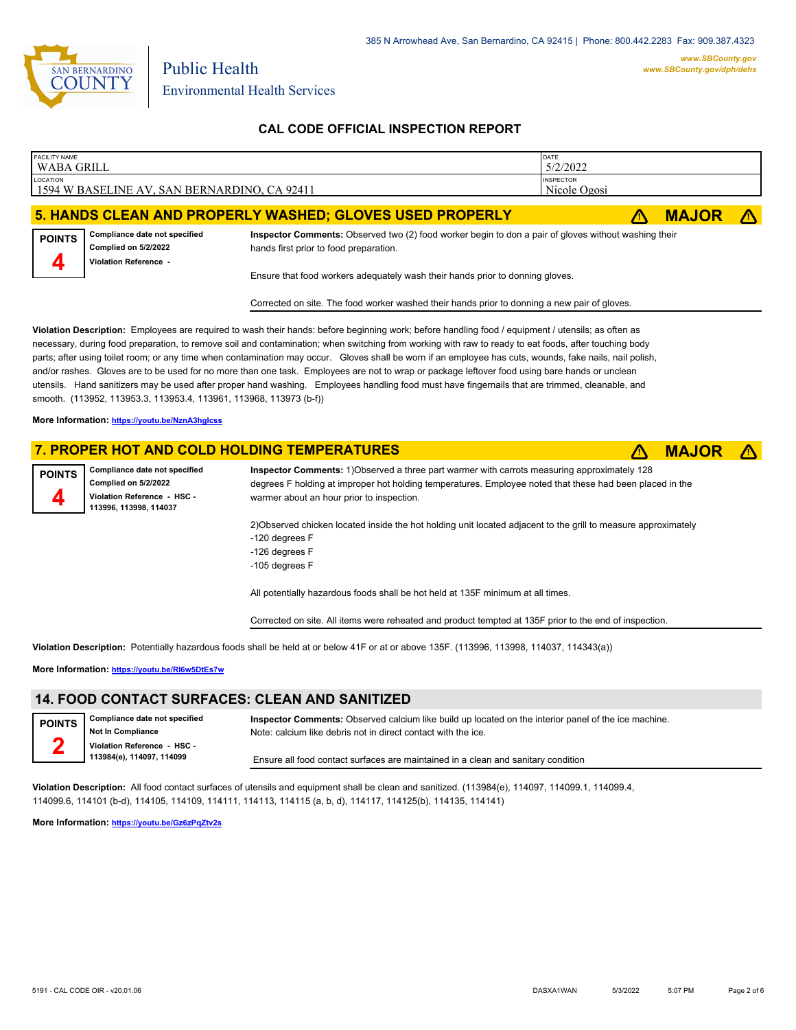

**CAL CODE OFFICIAL INSPECTION REPORT**

| FACILITY NAME<br>WABA GRILL |                                                                                |                                                                                                                                                                                                                                                                                        | DATE<br>5/2/2022                 |              |            |
|-----------------------------|--------------------------------------------------------------------------------|----------------------------------------------------------------------------------------------------------------------------------------------------------------------------------------------------------------------------------------------------------------------------------------|----------------------------------|--------------|------------|
| LOCATION                    | 1594 W BASELINE AV, SAN BERNARDINO, CA 92411                                   |                                                                                                                                                                                                                                                                                        | <b>INSPECTOR</b><br>Nicole Ogosi |              |            |
|                             |                                                                                | 5. HANDS CLEAN AND PROPERLY WASHED; GLOVES USED PROPERLY                                                                                                                                                                                                                               |                                  | <b>MAJOR</b> | $\sqrt{N}$ |
| <b>POINTS</b><br>Д          | Compliance date not specified<br>Complied on 5/2/2022<br>Violation Reference - | Inspector Comments: Observed two (2) food worker begin to don a pair of gloves without washing their<br>hands first prior to food preparation.                                                                                                                                         |                                  |              |            |
|                             |                                                                                | Ensure that food workers adequately wash their hands prior to donning gloves.<br>Corrected on site. The food worker washed their hands prior to donning a new pair of gloves.                                                                                                          |                                  |              |            |
|                             |                                                                                | Violation Description: Employees are required to wash their hands: before beginning work; before handling food / equipment / utensils; as often as<br>uring food prepared in remains to contamination; when switching from working with raw to ready to eat foods, after touching hody |                                  |              |            |

ary, during food preparation, to remove soil and contamination; when switching from working with raw to ready to eat foods, after touching body parts; after using toilet room; or any time when contamination may occur. Gloves shall be worn if an employee has cuts, wounds, fake nails, nail polish, and/or rashes. Gloves are to be used for no more than one task. Employees are not to wrap or package leftover food using bare hands or unclean utensils. Hand sanitizers may be used after proper hand washing. Employees handling food must have fingernails that are trimmed, cleanable, and smooth. (113952, 113953.3, 113953.4, 113961, 113968, 113973 (b-f))

**More Information: <https://youtu.be/NznA3hgIcss>**

#### **7. PROPER HOT AND COLD HOLDING TEMPERATURES** ê**! MAJOR** ê**!**

**Compliance date not specified Complied on 5/2/2022 Violation Reference - HSC - 113996, 113998, 114037 POINTS**

**4**

**2**

**Inspector Comments:** 1)Observed a three part warmer with carrots measuring approximately 128 degrees F holding at improper hot holding temperatures. Employee noted that these had been placed in the warmer about an hour prior to inspection.

2)Observed chicken located inside the hot holding unit located adjacent to the grill to measure approximately -120 degrees F

- -126 degrees F
- -105 degrees F

All potentially hazardous foods shall be hot held at 135F minimum at all times.

Corrected on site. All items were reheated and product tempted at 135F prior to the end of inspection.

**Violation Description:** Potentially hazardous foods shall be held at or below 41F or at or above 135F. (113996, 113998, 114037, 114343(a))

**More Information: <https://youtu.be/RI6w5DtEs7w>**

### **14. FOOD CONTACT SURFACES: CLEAN AND SANITIZED**

**Compliance date not specified Not In Compliance Violation Reference - HSC - 113984(e), 114097, 114099 POINTS**

**Inspector Comments:** Observed calcium like build up located on the interior panel of the ice machine. Note: calcium like debris not in direct contact with the ice.

Ensure all food contact surfaces are maintained in a clean and sanitary condition

**Violation Description:** All food contact surfaces of utensils and equipment shall be clean and sanitized. (113984(e), 114097, 114099.1, 114099.4, 114099.6, 114101 (b-d), 114105, 114109, 114111, 114113, 114115 (a, b, d), 114117, 114125(b), 114135, 114141)

**More Information: <https://youtu.be/Gz6zPqZtv2s>**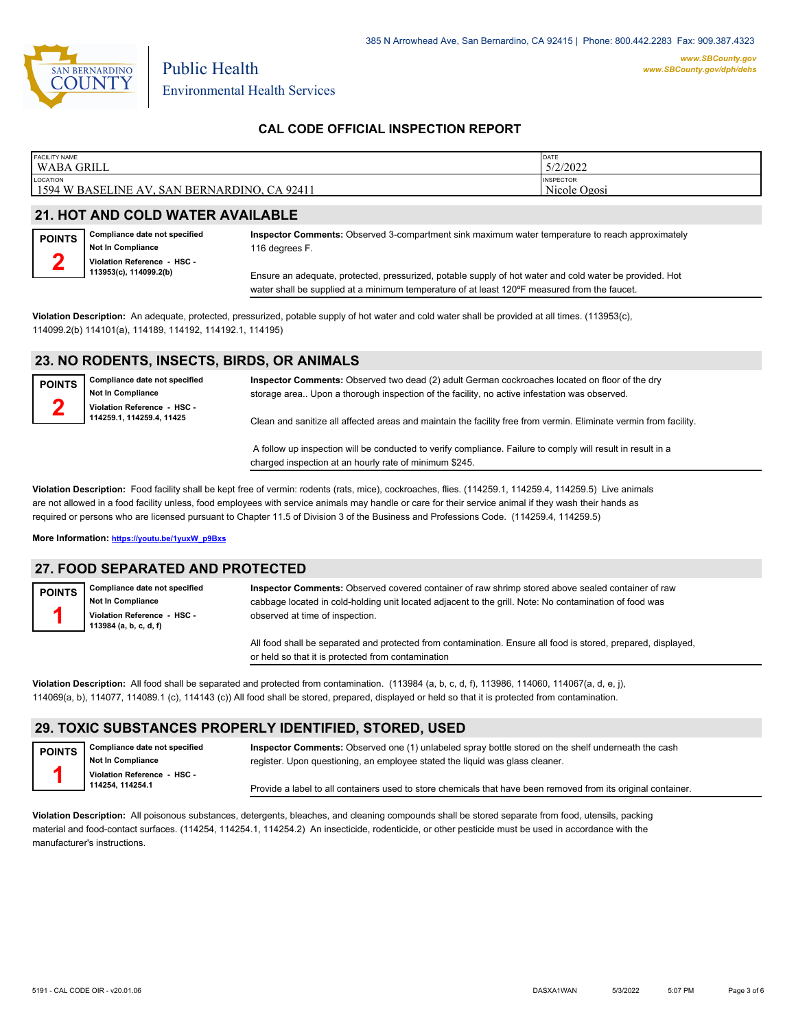

Environmental Health Services

Public Health

### **CAL CODE OFFICIAL INSPECTION REPORT**

| <b>FACILITY NAME</b>                                                       | <b>IDATE</b>                     |
|----------------------------------------------------------------------------|----------------------------------|
| <b>WABA GRILL</b>                                                          | 5/2/2022                         |
| LOCATION<br>1594 W BASELINE<br><b>BERNARDINO.</b><br>CA 92411<br>ΑV<br>SAN | <b>INSPECTOR</b><br>Nicole Ogosi |

## **21. HOT AND COLD WATER AVAILABLE**

| <b>POINTS</b> | Compliance date not specified |
|---------------|-------------------------------|
|               | Not In Compliance             |
|               | Violation Reference - HSC -   |
|               | 113953(c), 114099.2(b)        |

**Inspector Comments:** Observed 3-compartment sink maximum water temperature to reach approximately 116 degrees F.

Ensure an adequate, protected, pressurized, potable supply of hot water and cold water be provided. Hot water shall be supplied at a minimum temperature of at least 120°F measured from the faucet.

**Violation Description:** An adequate, protected, pressurized, potable supply of hot water and cold water shall be provided at all times. (113953(c), 114099.2(b) 114101(a), 114189, 114192, 114192.1, 114195)

#### **23. NO RODENTS, INSECTS, BIRDS, OR ANIMALS**

| <b>POINTS</b> | Compliance date not specified<br><b>Not In Compliance</b> | Inspector Comments: Observed two dead (2) adult German cockroaches located on floor of the dry<br>storage area Upon a thorough inspection of the facility, no active infestation was observed. |
|---------------|-----------------------------------------------------------|------------------------------------------------------------------------------------------------------------------------------------------------------------------------------------------------|
|               | Violation Reference - HSC -<br>114259.1, 114259.4, 11425  | Clean and sanitize all affected areas and maintain the facility free from vermin. Eliminate vermin from facility.                                                                              |
|               |                                                           | A follow up inspection will be conducted to verify compliance. Failure to comply will result in result in a                                                                                    |

charged inspection at an hourly rate of minimum \$245.

**Violation Description:** Food facility shall be kept free of vermin: rodents (rats, mice), cockroaches, flies. (114259.1, 114259.4, 114259.5) Live animals are not allowed in a food facility unless, food employees with service animals may handle or care for their service animal if they wash their hands as required or persons who are licensed pursuant to Chapter 11.5 of Division 3 of the Business and Professions Code. (114259.4, 114259.5)

**More Information: [https://youtu.be/1yuxW\\_p9Bxs](https://youtu.be/1yuxW_p9Bxs)**

#### **27. FOOD SEPARATED AND PROTECTED**

specified

**Compliance date not specified Not In Compliance Violation Reference - HSC - 113984 (a, b, c, d, f) POINTS 1**

**Inspector Comments:** Observed covered container of raw shrimp stored above sealed container of raw cabbage located in cold-holding unit located adjacent to the grill. Note: No contamination of food was observed at time of inspection.

All food shall be separated and protected from contamination. Ensure all food is stored, prepared, displayed, or held so that it is protected from contamination

**Violation Description:** All food shall be separated and protected from contamination. (113984 (a, b, c, d, f), 113986, 114060, 114067(a, d, e, j), 114069(a, b), 114077, 114089.1 (c), 114143 (c)) All food shall be stored, prepared, displayed or held so that it is protected from contamination.

### **29. TOXIC SUBSTANCES PROPERLY IDENTIFIED, STORED, USED**

| <b>POINTS</b> | Compliance date not specific |
|---------------|------------------------------|
|               | Not In Compliance            |
|               | Violation Reference - HSC -  |
|               | 114254, 114254.1             |

**Inspector Comments:** Observed one (1) unlabeled spray bottle stored on the shelf underneath the cash register. Upon questioning, an employee stated the liquid was glass cleaner.

Provide a label to all containers used to store chemicals that have been removed from its original container.

**Violation Description:** All poisonous substances, detergents, bleaches, and cleaning compounds shall be stored separate from food, utensils, packing material and food-contact surfaces. (114254, 114254.1, 114254.2) An insecticide, rodenticide, or other pesticide must be used in accordance with the manufacturer's instructions.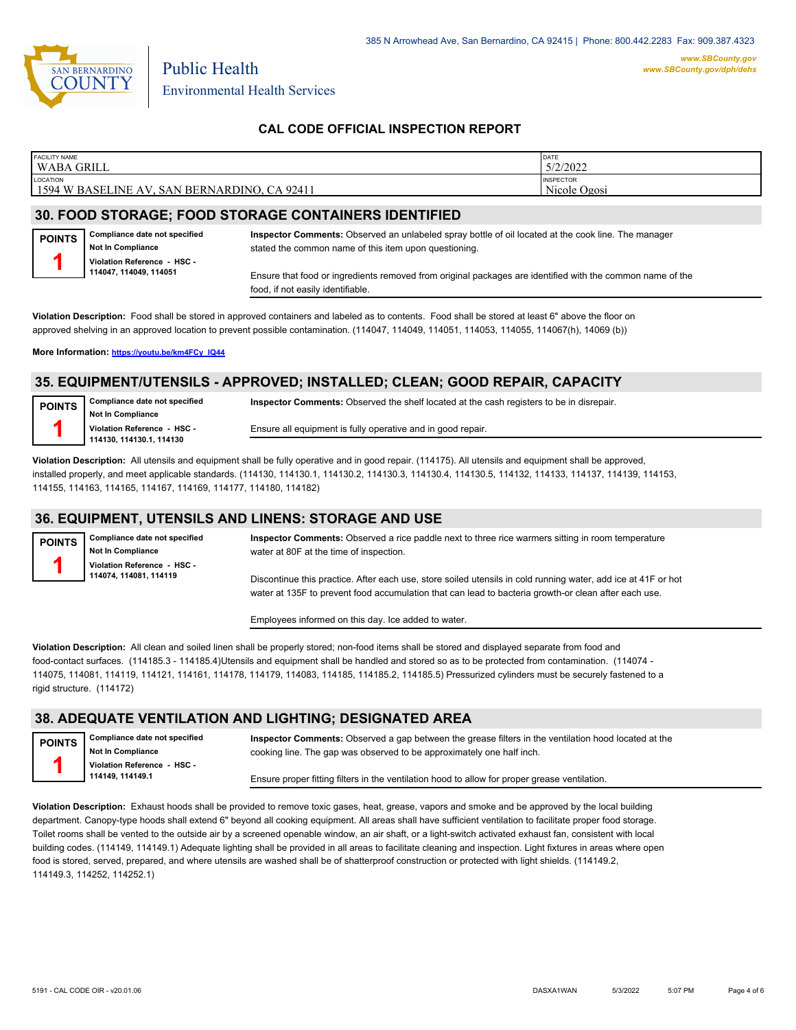

*www.SBCounty.gov [www.SBCounty.gov/dph/dehs](http://www.sbcounty.gov/dph/ehsportal)*

### **CAL CODE OFFICIAL INSPECTION REPORT**

| <b>FACILITY NAME</b><br>WABA GRILL                          | DATE<br>5/2/2022                 |
|-------------------------------------------------------------|----------------------------------|
| LOCATION<br>1594 W BASELINE AV.<br>SAN BERNARDINO, CA 92411 | <b>INSPECTOR</b><br>Nicole Ogosi |
|                                                             |                                  |

## **30. FOOD STORAGE; FOOD STORAGE CONTAINERS IDENTIFIED**

**Compliance date not specified Not In Compliance POINTS 1**

**Violation Reference - HSC - 114047, 114049, 114051**

**Inspector Comments:** Observed an unlabeled spray bottle of oil located at the cook line. The manager stated the common name of this item upon questioning.

Ensure that food or ingredients removed from original packages are identified with the common name of the food, if not easily identifiable.

**Violation Description:** Food shall be stored in approved containers and labeled as to contents. Food shall be stored at least 6" above the floor on approved shelving in an approved location to prevent possible contamination. (114047, 114049, 114051, 114053, 114055, 114067(h), 14069 (b))

**More Information: [https://youtu.be/km4FCy\\_IQ44](https://youtu.be/km4FCy_IQ44)**

#### **35. EQUIPMENT/UTENSILS - APPROVED; INSTALLED; CLEAN; GOOD REPAIR, CAPACITY**

**POINTS 1**

**Compliance date not specified Not In Compliance Violation Reference - HSC - 114130, 114130.1, 114130**

Ensure all equipment is fully operative and in good repair.

**Inspector Comments:** Observed the shelf located at the cash registers to be in disrepair.

**Violation Description:** All utensils and equipment shall be fully operative and in good repair. (114175). All utensils and equipment shall be approved, installed properly, and meet applicable standards. (114130, 114130.1, 114130.2, 114130.3, 114130.4, 114130.5, 114132, 114133, 114137, 114139, 114153, 114155, 114163, 114165, 114167, 114169, 114177, 114180, 114182)

### **36. EQUIPMENT, UTENSILS AND LINENS: STORAGE AND USE**

**Compliance date not specified Not In Compliance Violation Reference - HSC - 114074, 114081, 114119 POINTS 1**

**Inspector Comments:** Observed a rice paddle next to three rice warmers sitting in room temperature water at 80F at the time of inspection.

Discontinue this practice. After each use, store soiled utensils in cold running water, add ice at 41F or hot water at 135F to prevent food accumulation that can lead to bacteria growth-or clean after each use.

Employees informed on this day. Ice added to water.

**Violation Description:** All clean and soiled linen shall be properly stored; non-food items shall be stored and displayed separate from food and food-contact surfaces. (114185.3 - 114185.4)Utensils and equipment shall be handled and stored so as to be protected from contamination. (114074 - 114075, 114081, 114119, 114121, 114161, 114178, 114179, 114083, 114185, 114185.2, 114185.5) Pressurized cylinders must be securely fastened to a rigid structure. (114172)

#### **38. ADEQUATE VENTILATION AND LIGHTING; DESIGNATED AREA**

**Compliance date not specified Not In Compliance Violation Reference - HSC - 114149, 114149.1 POINTS 1 Inspector Comments:** Observed a gap between the grease filters in the ventilation hood located at the cooking line. The gap was observed to be approximately one half inch. Ensure proper fitting filters in the ventilation hood to allow for proper grease ventilation.

**Violation Description:** Exhaust hoods shall be provided to remove toxic gases, heat, grease, vapors and smoke and be approved by the local building department. Canopy-type hoods shall extend 6" beyond all cooking equipment. All areas shall have sufficient ventilation to facilitate proper food storage. Toilet rooms shall be vented to the outside air by a screened openable window, an air shaft, or a light-switch activated exhaust fan, consistent with local building codes. (114149, 114149.1) Adequate lighting shall be provided in all areas to facilitate cleaning and inspection. Light fixtures in areas where open food is stored, served, prepared, and where utensils are washed shall be of shatterproof construction or protected with light shields. (114149.2, 114149.3, 114252, 114252.1)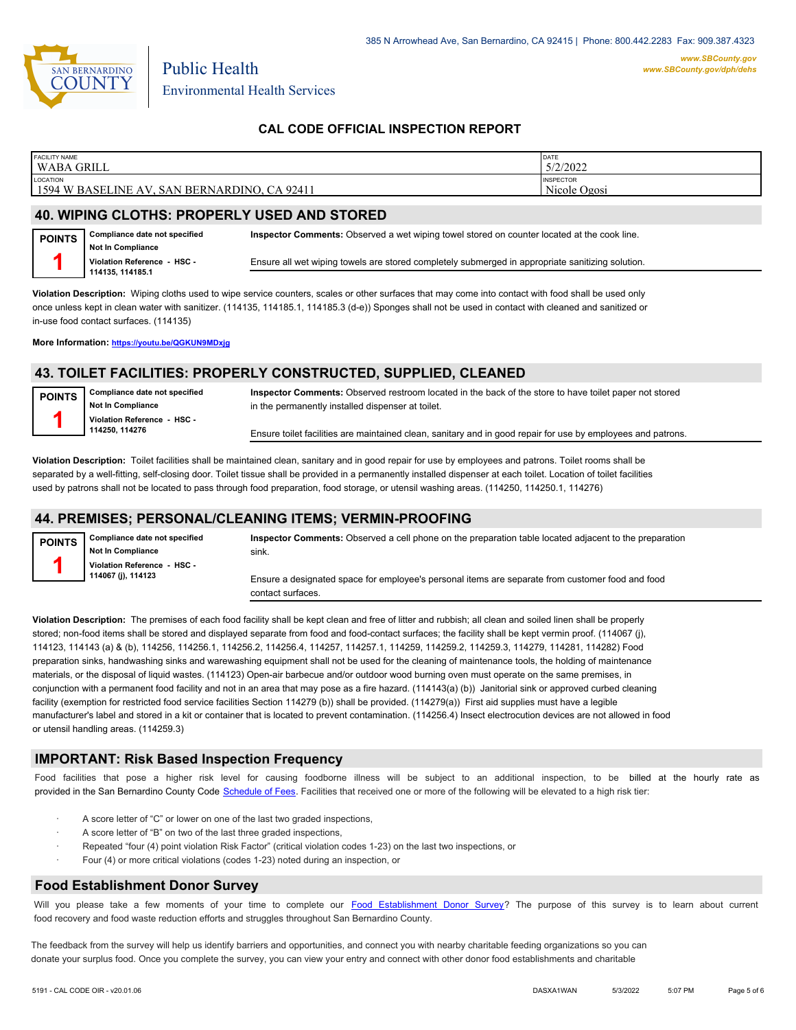

### **CAL CODE OFFICIAL INSPECTION REPORT**

| <b>FACILITY NAME</b>                                                 | DATE                             |
|----------------------------------------------------------------------|----------------------------------|
| <b>WABA GRILL</b>                                                    | 5/2/2022                         |
| LOCATION<br>CA 92411<br>1594 W BASELINE<br>. SAN BERNARDINO. C<br>AV | <b>INSPECTOR</b><br>Nicole Ogosi |

#### **40. WIPING CLOTHS: PROPERLY USED AND STORED**

Public Health

**Compliance date not specified Not In Compliance Violation Reference - HSC - 114135, 114185.1 POINTS 1 Inspector Comments:** Observed a wet wiping towel stored on counter located at the cook line. Ensure all wet wiping towels are stored completely submerged in appropriate sanitizing solution.

**Violation Description:** Wiping cloths used to wipe service counters, scales or other surfaces that may come into contact with food shall be used only once unless kept in clean water with sanitizer. (114135, 114185.1, 114185.3 (d-e)) Sponges shall not be used in contact with cleaned and sanitized or in-use food contact surfaces. (114135)

**More Information: <https://youtu.be/QGKUN9MDxjg>**

### **43. TOILET FACILITIES: PROPERLY CONSTRUCTED, SUPPLIED, CLEANED**

| <b>POINTS</b> | Compliance date not specified | Inspector Comments: Observed restroom located in the back of the store to have toilet paper not stored       |
|---------------|-------------------------------|--------------------------------------------------------------------------------------------------------------|
|               | <b>Not In Compliance</b>      | in the permanently installed dispenser at toilet.                                                            |
|               | Violation Reference - HSC -   |                                                                                                              |
|               | 114250.114276                 | Ensure toilet facilities are maintained clean, sanitary and in good repair for use by employees and patrons. |
|               |                               |                                                                                                              |

**Violation Description:** Toilet facilities shall be maintained clean, sanitary and in good repair for use by employees and patrons. Toilet rooms shall be separated by a well-fitting, self-closing door. Toilet tissue shall be provided in a permanently installed dispenser at each toilet. Location of toilet facilities used by patrons shall not be located to pass through food preparation, food storage, or utensil washing areas. (114250, 114250.1, 114276)

### **44. PREMISES; PERSONAL/CLEANING ITEMS; VERMIN-PROOFING**

| <b>POINTS</b> | Compliance date not specified<br>Not In Compliance | Inspector Comments: Observed a cell phone on the preparation table located adjacent to the preparation<br>sink. |
|---------------|----------------------------------------------------|-----------------------------------------------------------------------------------------------------------------|
|               | Violation Reference - HSC -<br>114067 (j), 114123  | Ensure a designated space for employee's personal items are separate from customer food and food                |
|               |                                                    | contact surfaces.                                                                                               |

**Violation Description:** The premises of each food facility shall be kept clean and free of litter and rubbish; all clean and soiled linen shall be properly stored; non-food items shall be stored and displayed separate from food and food-contact surfaces; the facility shall be kept vermin proof. (114067 (j), 114123, 114143 (a) & (b), 114256, 114256.1, 114256.2, 114256.4, 114257, 114257.1, 114259, 114259.2, 114259.3, 114279, 114281, 114282) Food preparation sinks, handwashing sinks and warewashing equipment shall not be used for the cleaning of maintenance tools, the holding of maintenance materials, or the disposal of liquid wastes. (114123) Open-air barbecue and/or outdoor wood burning oven must operate on the same premises, in conjunction with a permanent food facility and not in an area that may pose as a fire hazard. (114143(a) (b)) Janitorial sink or approved curbed cleaning facility (exemption for restricted food service facilities Section 114279 (b)) shall be provided. (114279(a)) First aid supplies must have a legible manufacturer's label and stored in a kit or container that is located to prevent contamination. (114256.4) Insect electrocution devices are not allowed in food or utensil handling areas. (114259.3)

### **IMPORTANT: Risk Based Inspection Frequency**

Food facilities that pose a higher risk level for causing foodborne illness will be subject to an additional inspection, to be billed at the hourly rate as provided in the San Bernardi[no County Code Schedule of Fees](https://codelibrary.amlegal.com/codes/sanbernardino/latest/sanberncty_ca/0-0-0-122474#JD_16.0213B). Facilities that received one or more of the following will be elevated to a high risk tier:

- A score letter of "C" or lower on one of the last two graded inspections.
- A score letter of "B" on two of the last three graded inspections,
- Repeated "four (4) point violation Risk Factor" (critical violation codes 1-23) on the last two inspections, or
- Four (4) or more critical violations (codes 1-23) noted during an inspection, or

#### **Food Establishment Donor Survey**

Will you please take a few moments of your time to co[mplete our Food Establishment Donor Survey?](https://survey123.arcgis.com/share/626bb0fb21674c82832b0c0d557c5e80?field:faid=FA0003121&field:facility_name=WABA%20GRILL¢er=34.12,-117.32&field:phone=) The purpose of this survey is to learn about current food recovery and food waste reduction efforts and struggles throughout San Bernardino County.

The feedback from the survey will help us identify barriers and opportunities, and connect you with nearby charitable feeding organizations so you can donate your surplus fo[od. Once you complete the su](https://arcg.is/WvjGb)rvey, you can view your entry and connect with other donor food establishments and charitable